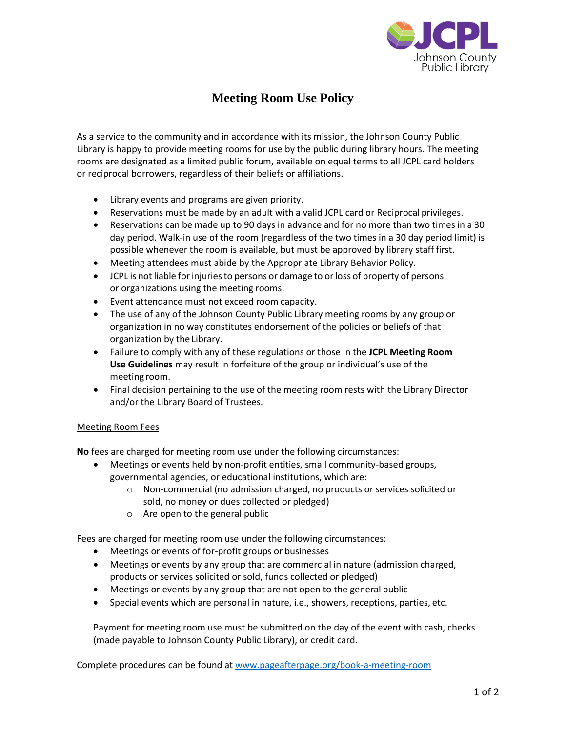

## **Meeting Room Use Policy**

As a service to the community and in accordance with its mission, the Johnson County Public Library is happy to provide meeting rooms for use by the public during library hours. The meeting rooms are designated as a limited public forum, available on equal terms to all JCPL card holders or reciprocal borrowers, regardless of their beliefs or affiliations.

- Library events and programs are given priority.
- Reservations must be made by an adult with a valid JCPL card or Reciprocal privileges.
- Reservations can be made up to 90 days in advance and for no more than two times in a 30 day period. Walk-in use of the room (regardless of the two times in a 30 day period limit) is possible whenever the room is available, but must be approved by library staff first.
- Meeting attendees must abide by the Appropriate Library Behavior Policy.
- JCPL is not liable for injuries to persons or damage to or loss of property of persons or organizations using the meeting rooms.
- Event attendance must not exceed room capacity.
- The use of any of the Johnson County Public Library meeting rooms by any group or organization in no way constitutes endorsement of the policies or beliefs of that organization by the Library.
- Failure to comply with any of these regulations or those in the **JCPL Meeting Room Use Guidelines** may result in forfeiture of the group or individual's use of the meeting room.
- Final decision pertaining to the use of the meeting room rests with the Library Director and/or the Library Board of Trustees.

## Meeting Room Fees

**No** fees are charged for meeting room use under the following circumstances:

- Meetings or events held by non-profit entities, small community-based groups, governmental agencies, or educational institutions, which are:
	- o Non-commercial (no admission charged, no products or services solicited or sold, no money or dues collected or pledged)
	- o Are open to the general public

Fees are charged for meeting room use under the following circumstances:

- Meetings or events of for-profit groups or businesses
- Meetings or events by any group that are commercial in nature (admission charged, products or services solicited or sold, funds collected or pledged)
- Meetings or events by any group that are not open to the general public
- Special events which are personal in nature, i.e., showers, receptions, parties, etc.

Payment for meeting room use must be submitted on the day of the event with cash, checks (made payable to Johnson County Public Library), or credit card.

Complete procedures can be found a[t www.pageafterpage.org/book-a-meeting-room](http://www.pageafterpage.org/book-a-meeting-room)